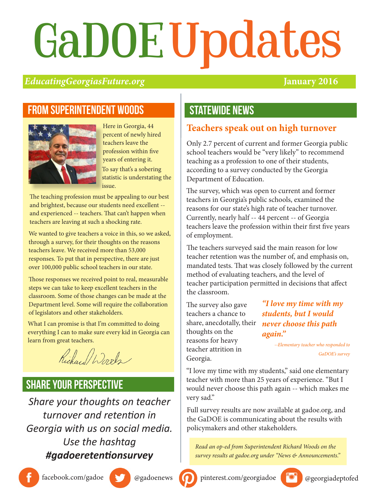# GaDOEUpdates

## *EducatingGeorgiasFuture.org* **January 2016**

## From superintendent woods



Here in Georgia, 44 percent of newly hired teachers leave the profession within five years of entering it. To say that's a sobering statistic is understating the issue.

The teaching profession must be appealing to our best and brightest, because our students need excellent - and experienced -- teachers. That can't happen when teachers are leaving at such a shocking rate.

We wanted to give teachers a voice in this, so we asked, through a survey, for their thoughts on the reasons teachers leave. We received more than 53,000 responses. To put that in perspective, there are just over 100,000 public school teachers in our state.

Those responses we received point to real, measurable steps we can take to keep excellent teachers in the classroom. Some of those changes can be made at the Department level. Some will require the collaboration of legislators and other stakeholders.

What I can promise is that I'm committed to doing everything I can to make sure every kid in Georgia can learn from great teachers.

Richard Words

## share your perspective

*Share your thoughts on teacher turnover and retention in Georgia with us on social media. Use the hashtag #gadoeretentionsurvey*

## **STATEWIDE NEWS**

## **Teachers speak out on high turnover**

Only 2.7 percent of current and former Georgia public school teachers would be "very likely" to recommend teaching as a profession to one of their students, according to a survey conducted by the Georgia Department of Education.

The survey, which was open to current and former teachers in Georgia's public schools, examined the reasons for our state's high rate of teacher turnover. Currently, nearly half -- 44 percent -- of Georgia teachers leave the profession within their first five years of employment.

The teachers surveyed said the main reason for low teacher retention was the number of, and emphasis on, mandated tests. That was closely followed by the current method of evaluating teachers, and the level of teacher participation permitted in decisions that affect the classroom.

The survey also gave teachers a chance to share, anecdotally, their thoughts on the reasons for heavy teacher attrition in Georgia.

*"I love my time with my students, but I would never choose this path again."* 

> *--Elementary teacher who responded to GaDOE's survey*

"I love my time with my students," said one elementary teacher with more than 25 years of experience. "But I would never choose this path again -- which makes me very sad."

Full survey results are now available at gadoe.org, and the GaDOE is communicating about the results with policymakers and other stakeholders.

*Read an op-ed from Superintendent Richard Woods on the survey results at gadoe.org under "News & Announcements."*





facebook.com/gadoe @gadoenews 0 pinterest.com/georgiadoe @georgiadeptofed